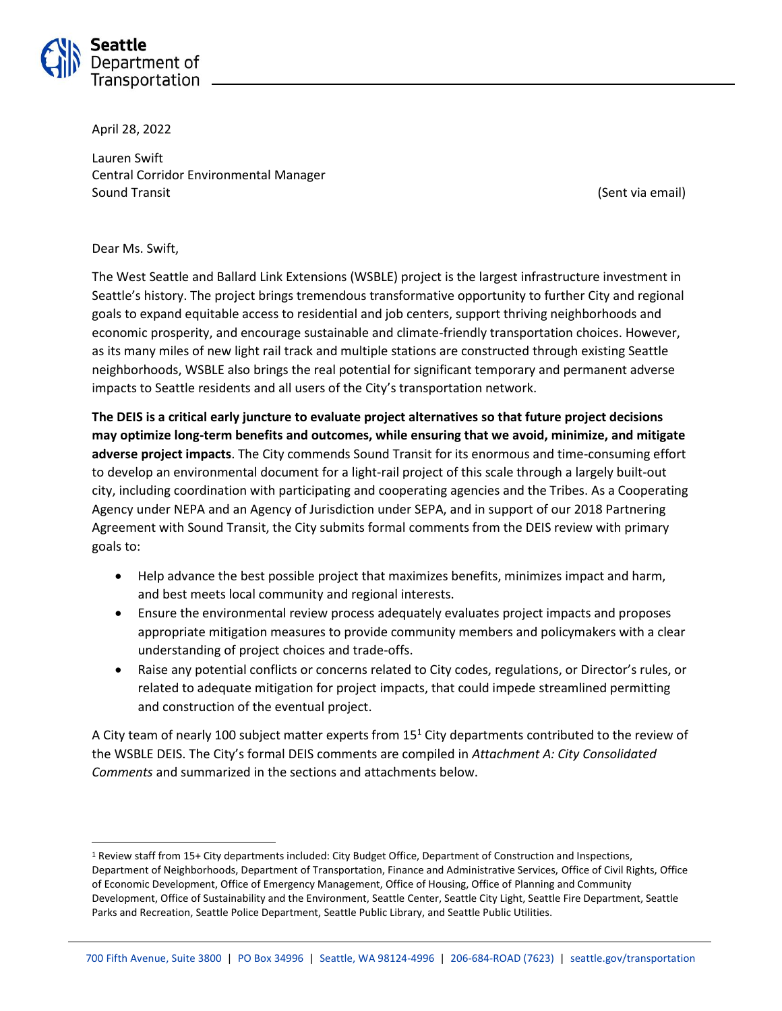

April 28, 2022

Lauren Swift Central Corridor Environmental Manager Sound Transit (Sent via email)

#### Dear Ms. Swift,

 $\overline{\phantom{a}}$ 

The West Seattle and Ballard Link Extensions (WSBLE) project is the largest infrastructure investment in Seattle's history. The project brings tremendous transformative opportunity to further City and regional goals to expand equitable access to residential and job centers, support thriving neighborhoods and economic prosperity, and encourage sustainable and climate-friendly transportation choices. However, as its many miles of new light rail track and multiple stations are constructed through existing Seattle neighborhoods, WSBLE also brings the real potential for significant temporary and permanent adverse impacts to Seattle residents and all users of the City's transportation network.

**The DEIS is a critical early juncture to evaluate project alternatives so that future project decisions may optimize long-term benefits and outcomes, while ensuring that we avoid, minimize, and mitigate adverse project impacts**. The City commends Sound Transit for its enormous and time-consuming effort to develop an environmental document for a light-rail project of this scale through a largely built-out city, including coordination with participating and cooperating agencies and the Tribes. As a Cooperating Agency under NEPA and an Agency of Jurisdiction under SEPA, and in support of our 2018 Partnering Agreement with Sound Transit, the City submits formal comments from the DEIS review with primary goals to:

- Help advance the best possible project that maximizes benefits, minimizes impact and harm, and best meets local community and regional interests.
- Ensure the environmental review process adequately evaluates project impacts and proposes appropriate mitigation measures to provide community members and policymakers with a clear understanding of project choices and trade-offs.
- Raise any potential conflicts or concerns related to City codes, regulations, or Director's rules, or related to adequate mitigation for project impacts, that could impede streamlined permitting and construction of the eventual project.

A City team of nearly 100 subject matter experts from 15<sup>1</sup> City departments contributed to the review of the WSBLE DEIS. The City's formal DEIS comments are compiled in *Attachment A: City Consolidated Comments* and summarized in the sections and attachments below.

<sup>1</sup> Review staff from 15+ City departments included: City Budget Office, Department of Construction and Inspections, Department of Neighborhoods, Department of Transportation, Finance and Administrative Services, Office of Civil Rights, Office of Economic Development, Office of Emergency Management, Office of Housing, Office of Planning and Community Development, Office of Sustainability and the Environment, Seattle Center, Seattle City Light, Seattle Fire Department, Seattle Parks and Recreation, Seattle Police Department, Seattle Public Library, and Seattle Public Utilities.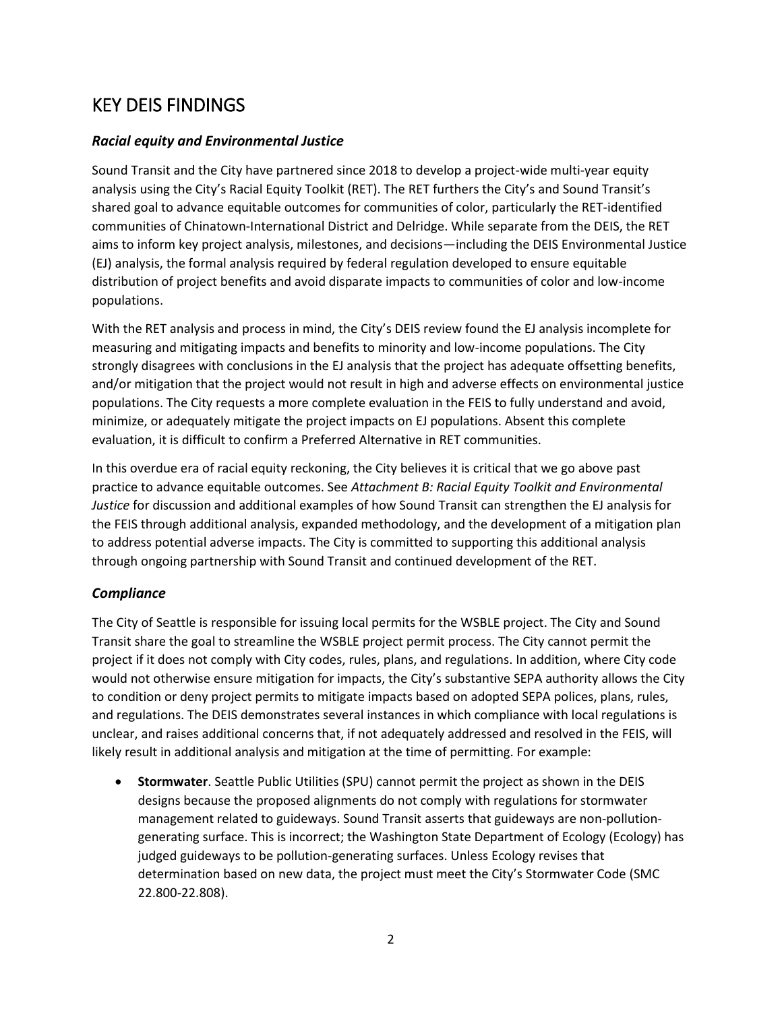# KEY DEIS FINDINGS

#### *Racial equity and Environmental Justice*

Sound Transit and the City have partnered since 2018 to develop a project-wide multi-year equity analysis using the City's Racial Equity Toolkit (RET). The RET furthers the City's and Sound Transit's shared goal to advance equitable outcomes for communities of color, particularly the RET-identified communities of Chinatown-International District and Delridge. While separate from the DEIS, the RET aims to inform key project analysis, milestones, and decisions—including the DEIS Environmental Justice (EJ) analysis, the formal analysis required by federal regulation developed to ensure equitable distribution of project benefits and avoid disparate impacts to communities of color and low-income populations.

With the RET analysis and process in mind, the City's DEIS review found the EJ analysis incomplete for measuring and mitigating impacts and benefits to minority and low-income populations. The City strongly disagrees with conclusions in the EJ analysis that the project has adequate offsetting benefits, and/or mitigation that the project would not result in high and adverse effects on environmental justice populations. The City requests a more complete evaluation in the FEIS to fully understand and avoid, minimize, or adequately mitigate the project impacts on EJ populations. Absent this complete evaluation, it is difficult to confirm a Preferred Alternative in RET communities.

In this overdue era of racial equity reckoning, the City believes it is critical that we go above past practice to advance equitable outcomes. See *Attachment B: Racial Equity Toolkit and Environmental Justice* for discussion and additional examples of how Sound Transit can strengthen the EJ analysis for the FEIS through additional analysis, expanded methodology, and the development of a mitigation plan to address potential adverse impacts. The City is committed to supporting this additional analysis through ongoing partnership with Sound Transit and continued development of the RET.

#### *Compliance*

The City of Seattle is responsible for issuing local permits for the WSBLE project. The City and Sound Transit share the goal to streamline the WSBLE project permit process. The City cannot permit the project if it does not comply with City codes, rules, plans, and regulations. In addition, where City code would not otherwise ensure mitigation for impacts, the City's substantive SEPA authority allows the City to condition or deny project permits to mitigate impacts based on adopted SEPA polices, plans, rules, and regulations. The DEIS demonstrates several instances in which compliance with local regulations is unclear, and raises additional concerns that, if not adequately addressed and resolved in the FEIS, will likely result in additional analysis and mitigation at the time of permitting. For example:

 **Stormwater**. Seattle Public Utilities (SPU) cannot permit the project as shown in the DEIS designs because the proposed alignments do not comply with regulations for stormwater management related to guideways. Sound Transit asserts that guideways are non-pollutiongenerating surface. This is incorrect; the Washington State Department of Ecology (Ecology) has judged guideways to be pollution-generating surfaces. Unless Ecology revises that determination based on new data, the project must meet the City's Stormwater Code (SMC 22.800-22.808).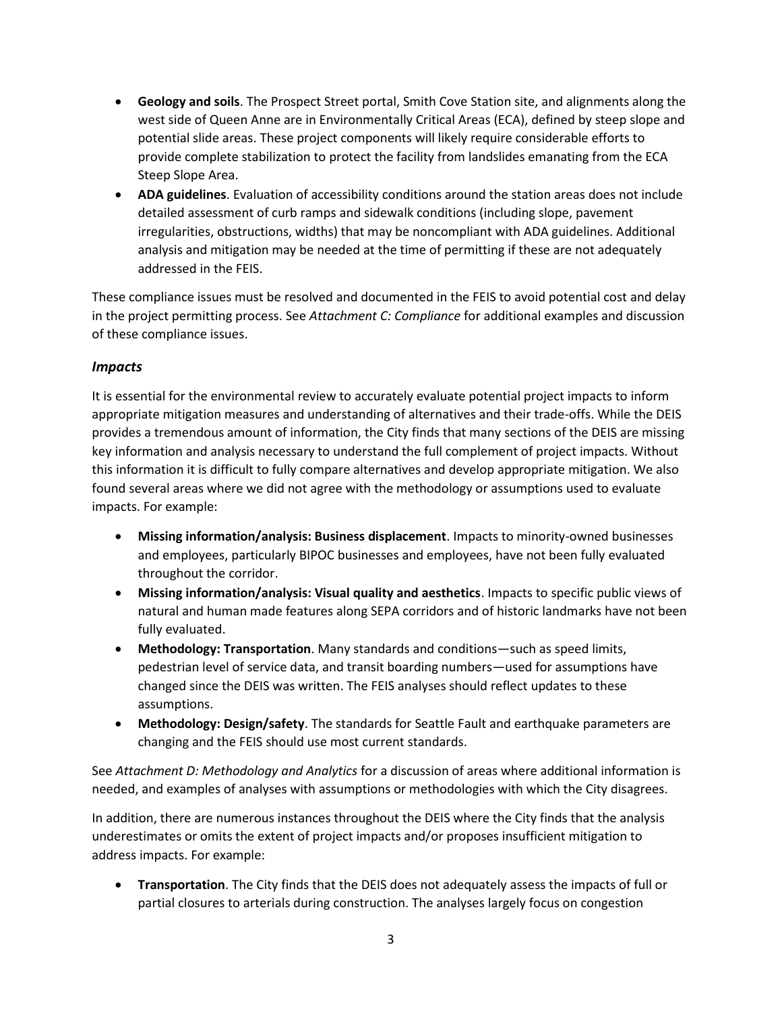- **Geology and soils**. The Prospect Street portal, Smith Cove Station site, and alignments along the west side of Queen Anne are in Environmentally Critical Areas (ECA), defined by steep slope and potential slide areas. These project components will likely require considerable efforts to provide complete stabilization to protect the facility from landslides emanating from the ECA Steep Slope Area.
- **ADA guidelines**. Evaluation of accessibility conditions around the station areas does not include detailed assessment of curb ramps and sidewalk conditions (including slope, pavement irregularities, obstructions, widths) that may be noncompliant with ADA guidelines. Additional analysis and mitigation may be needed at the time of permitting if these are not adequately addressed in the FEIS.

These compliance issues must be resolved and documented in the FEIS to avoid potential cost and delay in the project permitting process. See *Attachment C: Compliance* for additional examples and discussion of these compliance issues.

#### *Impacts*

It is essential for the environmental review to accurately evaluate potential project impacts to inform appropriate mitigation measures and understanding of alternatives and their trade-offs. While the DEIS provides a tremendous amount of information, the City finds that many sections of the DEIS are missing key information and analysis necessary to understand the full complement of project impacts. Without this information it is difficult to fully compare alternatives and develop appropriate mitigation. We also found several areas where we did not agree with the methodology or assumptions used to evaluate impacts. For example:

- **Missing information/analysis: Business displacement**. Impacts to minority-owned businesses and employees, particularly BIPOC businesses and employees, have not been fully evaluated throughout the corridor.
- **Missing information/analysis: Visual quality and aesthetics**. Impacts to specific public views of natural and human made features along SEPA corridors and of historic landmarks have not been fully evaluated.
- **Methodology: Transportation**. Many standards and conditions—such as speed limits, pedestrian level of service data, and transit boarding numbers—used for assumptions have changed since the DEIS was written. The FEIS analyses should reflect updates to these assumptions.
- **Methodology: Design/safety**. The standards for Seattle Fault and earthquake parameters are changing and the FEIS should use most current standards.

See *Attachment D: Methodology and Analytics* for a discussion of areas where additional information is needed, and examples of analyses with assumptions or methodologies with which the City disagrees.

In addition, there are numerous instances throughout the DEIS where the City finds that the analysis underestimates or omits the extent of project impacts and/or proposes insufficient mitigation to address impacts. For example:

 **Transportation**. The City finds that the DEIS does not adequately assess the impacts of full or partial closures to arterials during construction. The analyses largely focus on congestion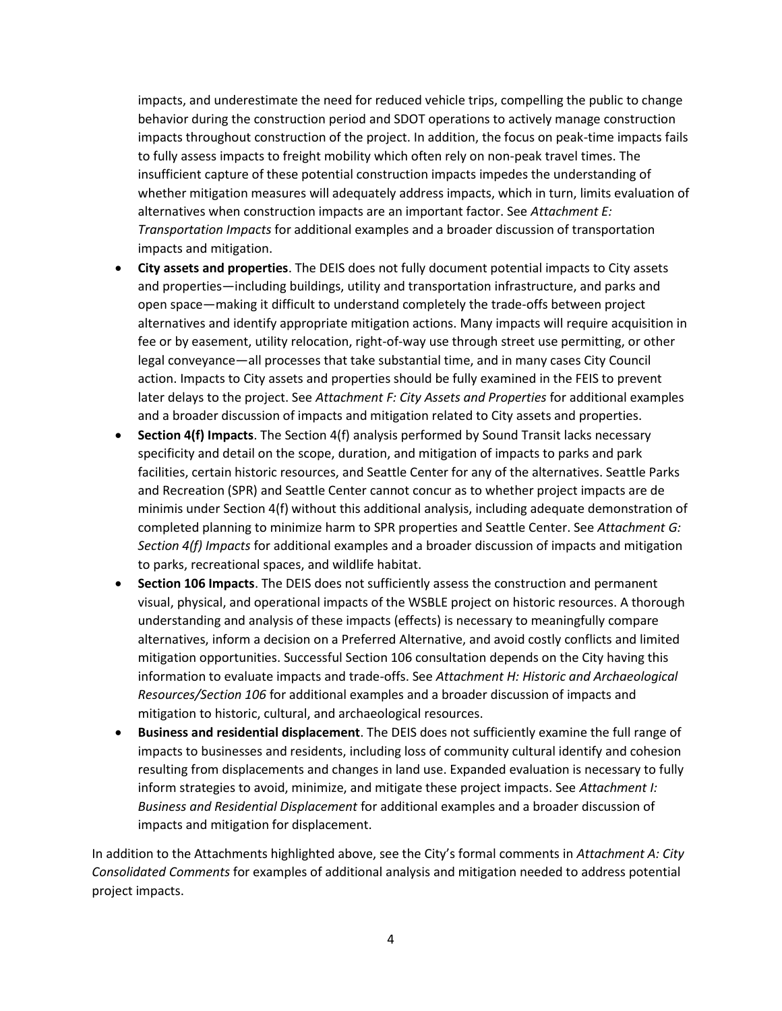impacts, and underestimate the need for reduced vehicle trips, compelling the public to change behavior during the construction period and SDOT operations to actively manage construction impacts throughout construction of the project. In addition, the focus on peak-time impacts fails to fully assess impacts to freight mobility which often rely on non-peak travel times. The insufficient capture of these potential construction impacts impedes the understanding of whether mitigation measures will adequately address impacts, which in turn, limits evaluation of alternatives when construction impacts are an important factor. See *Attachment E: Transportation Impacts* for additional examples and a broader discussion of transportation impacts and mitigation.

- **City assets and properties**. The DEIS does not fully document potential impacts to City assets and properties—including buildings, utility and transportation infrastructure, and parks and open space—making it difficult to understand completely the trade-offs between project alternatives and identify appropriate mitigation actions. Many impacts will require acquisition in fee or by easement, utility relocation, right-of-way use through street use permitting, or other legal conveyance—all processes that take substantial time, and in many cases City Council action. Impacts to City assets and properties should be fully examined in the FEIS to prevent later delays to the project. See *Attachment F: City Assets and Properties* for additional examples and a broader discussion of impacts and mitigation related to City assets and properties.
- **Section 4(f) Impacts**. The Section 4(f) analysis performed by Sound Transit lacks necessary specificity and detail on the scope, duration, and mitigation of impacts to parks and park facilities, certain historic resources, and Seattle Center for any of the alternatives. Seattle Parks and Recreation (SPR) and Seattle Center cannot concur as to whether project impacts are de minimis under Section 4(f) without this additional analysis, including adequate demonstration of completed planning to minimize harm to SPR properties and Seattle Center. See *Attachment G: Section 4(f) Impacts* for additional examples and a broader discussion of impacts and mitigation to parks, recreational spaces, and wildlife habitat.
- **Section 106 Impacts**. The DEIS does not sufficiently assess the construction and permanent visual, physical, and operational impacts of the WSBLE project on historic resources. A thorough understanding and analysis of these impacts (effects) is necessary to meaningfully compare alternatives, inform a decision on a Preferred Alternative, and avoid costly conflicts and limited mitigation opportunities. Successful Section 106 consultation depends on the City having this information to evaluate impacts and trade-offs. See *Attachment H: Historic and Archaeological Resources/Section 106* for additional examples and a broader discussion of impacts and mitigation to historic, cultural, and archaeological resources.
- **Business and residential displacement**. The DEIS does not sufficiently examine the full range of impacts to businesses and residents, including loss of community cultural identify and cohesion resulting from displacements and changes in land use. Expanded evaluation is necessary to fully inform strategies to avoid, minimize, and mitigate these project impacts. See *Attachment I: Business and Residential Displacement* for additional examples and a broader discussion of impacts and mitigation for displacement.

In addition to the Attachments highlighted above, see the City's formal comments in *Attachment A: City Consolidated Comments* for examples of additional analysis and mitigation needed to address potential project impacts.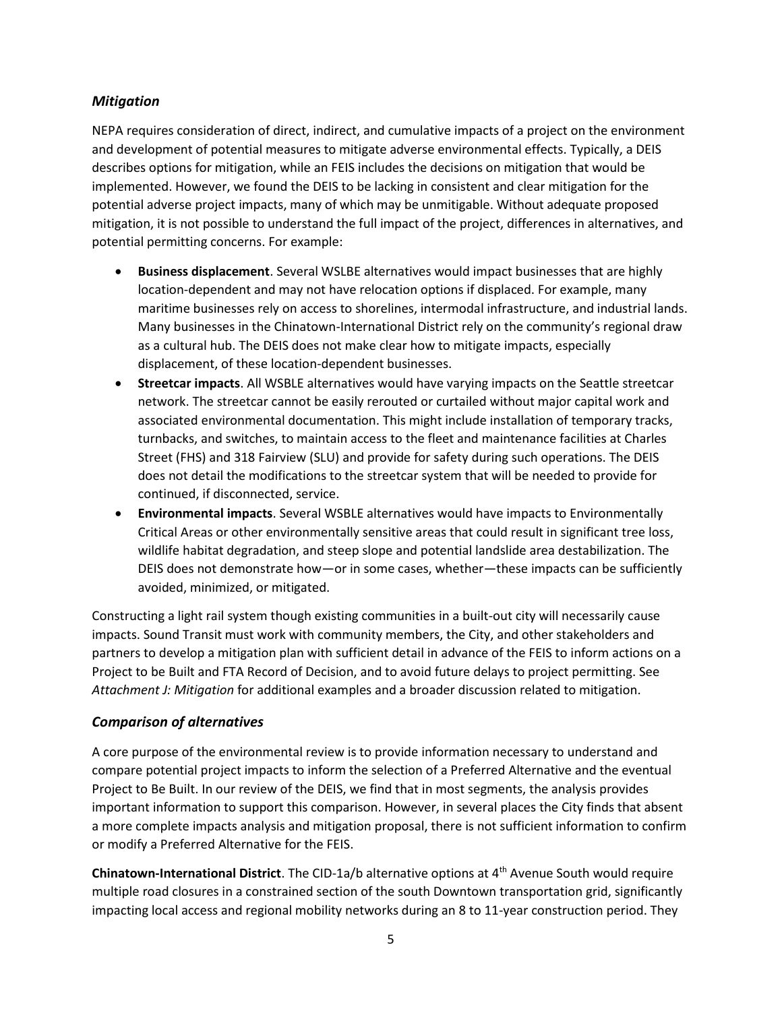#### *Mitigation*

NEPA requires consideration of direct, indirect, and cumulative impacts of a project on the environment and development of potential measures to mitigate adverse environmental effects. Typically, a DEIS describes options for mitigation, while an FEIS includes the decisions on mitigation that would be implemented. However, we found the DEIS to be lacking in consistent and clear mitigation for the potential adverse project impacts, many of which may be unmitigable. Without adequate proposed mitigation, it is not possible to understand the full impact of the project, differences in alternatives, and potential permitting concerns. For example:

- **Business displacement**. Several WSLBE alternatives would impact businesses that are highly location-dependent and may not have relocation options if displaced. For example, many maritime businesses rely on access to shorelines, intermodal infrastructure, and industrial lands. Many businesses in the Chinatown-International District rely on the community's regional draw as a cultural hub. The DEIS does not make clear how to mitigate impacts, especially displacement, of these location-dependent businesses.
- **Streetcar impacts**. All WSBLE alternatives would have varying impacts on the Seattle streetcar network. The streetcar cannot be easily rerouted or curtailed without major capital work and associated environmental documentation. This might include installation of temporary tracks, turnbacks, and switches, to maintain access to the fleet and maintenance facilities at Charles Street (FHS) and 318 Fairview (SLU) and provide for safety during such operations. The DEIS does not detail the modifications to the streetcar system that will be needed to provide for continued, if disconnected, service.
- **Environmental impacts**. Several WSBLE alternatives would have impacts to Environmentally Critical Areas or other environmentally sensitive areas that could result in significant tree loss, wildlife habitat degradation, and steep slope and potential landslide area destabilization. The DEIS does not demonstrate how—or in some cases, whether—these impacts can be sufficiently avoided, minimized, or mitigated.

Constructing a light rail system though existing communities in a built-out city will necessarily cause impacts. Sound Transit must work with community members, the City, and other stakeholders and partners to develop a mitigation plan with sufficient detail in advance of the FEIS to inform actions on a Project to be Built and FTA Record of Decision, and to avoid future delays to project permitting. See *Attachment J: Mitigation* for additional examples and a broader discussion related to mitigation.

## *Comparison of alternatives*

A core purpose of the environmental review is to provide information necessary to understand and compare potential project impacts to inform the selection of a Preferred Alternative and the eventual Project to Be Built. In our review of the DEIS, we find that in most segments, the analysis provides important information to support this comparison. However, in several places the City finds that absent a more complete impacts analysis and mitigation proposal, there is not sufficient information to confirm or modify a Preferred Alternative for the FEIS.

**Chinatown-International District**. The CID-1a/b alternative options at 4th Avenue South would require multiple road closures in a constrained section of the south Downtown transportation grid, significantly impacting local access and regional mobility networks during an 8 to 11-year construction period. They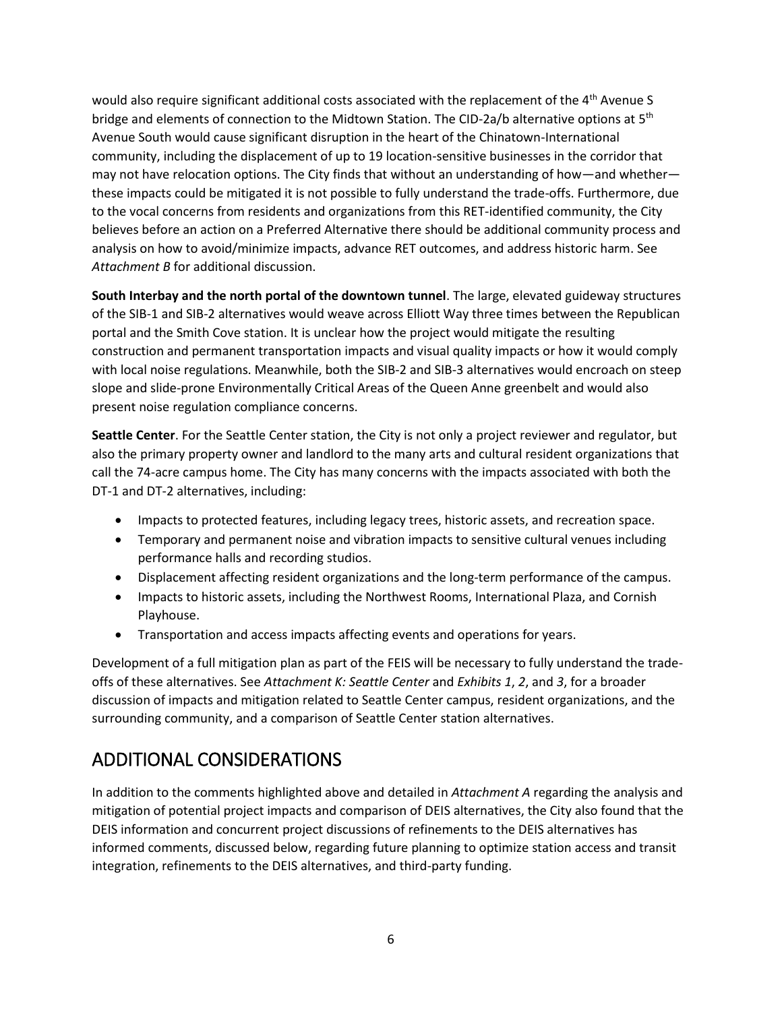would also require significant additional costs associated with the replacement of the 4<sup>th</sup> Avenue S bridge and elements of connection to the Midtown Station. The CID-2a/b alternative options at 5<sup>th</sup> Avenue South would cause significant disruption in the heart of the Chinatown-International community, including the displacement of up to 19 location-sensitive businesses in the corridor that may not have relocation options. The City finds that without an understanding of how—and whether these impacts could be mitigated it is not possible to fully understand the trade-offs. Furthermore, due to the vocal concerns from residents and organizations from this RET-identified community, the City believes before an action on a Preferred Alternative there should be additional community process and analysis on how to avoid/minimize impacts, advance RET outcomes, and address historic harm. See *Attachment B* for additional discussion.

**South Interbay and the north portal of the downtown tunnel**. The large, elevated guideway structures of the SIB-1 and SIB-2 alternatives would weave across Elliott Way three times between the Republican portal and the Smith Cove station. It is unclear how the project would mitigate the resulting construction and permanent transportation impacts and visual quality impacts or how it would comply with local noise regulations. Meanwhile, both the SIB-2 and SIB-3 alternatives would encroach on steep slope and slide-prone Environmentally Critical Areas of the Queen Anne greenbelt and would also present noise regulation compliance concerns.

**Seattle Center**. For the Seattle Center station, the City is not only a project reviewer and regulator, but also the primary property owner and landlord to the many arts and cultural resident organizations that call the 74-acre campus home. The City has many concerns with the impacts associated with both the DT-1 and DT-2 alternatives, including:

- Impacts to protected features, including legacy trees, historic assets, and recreation space.
- Temporary and permanent noise and vibration impacts to sensitive cultural venues including performance halls and recording studios.
- Displacement affecting resident organizations and the long-term performance of the campus.
- Impacts to historic assets, including the Northwest Rooms, International Plaza, and Cornish Playhouse.
- Transportation and access impacts affecting events and operations for years.

Development of a full mitigation plan as part of the FEIS will be necessary to fully understand the tradeoffs of these alternatives. See *Attachment K: Seattle Center* and *Exhibits 1*, *2*, and *3*, for a broader discussion of impacts and mitigation related to Seattle Center campus, resident organizations, and the surrounding community, and a comparison of Seattle Center station alternatives.

# ADDITIONAL CONSIDERATIONS

In addition to the comments highlighted above and detailed in *Attachment A* regarding the analysis and mitigation of potential project impacts and comparison of DEIS alternatives, the City also found that the DEIS information and concurrent project discussions of refinements to the DEIS alternatives has informed comments, discussed below, regarding future planning to optimize station access and transit integration, refinements to the DEIS alternatives, and third-party funding.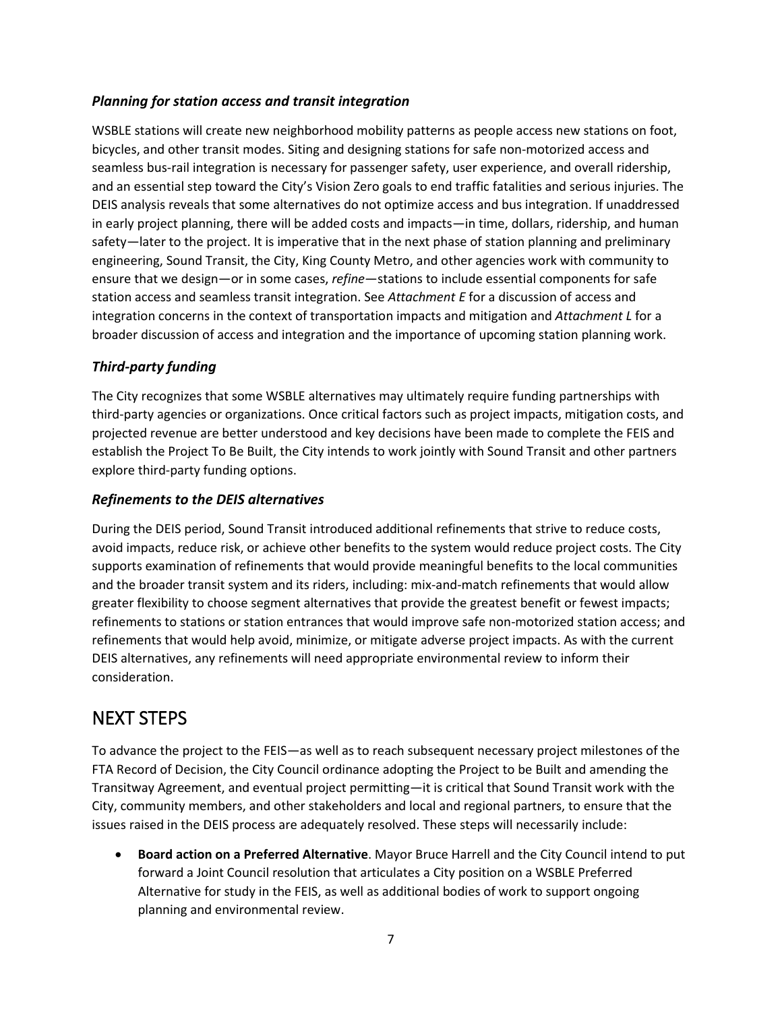#### *Planning for station access and transit integration*

WSBLE stations will create new neighborhood mobility patterns as people access new stations on foot, bicycles, and other transit modes. Siting and designing stations for safe non-motorized access and seamless bus-rail integration is necessary for passenger safety, user experience, and overall ridership, and an essential step toward the City's Vision Zero goals to end traffic fatalities and serious injuries. The DEIS analysis reveals that some alternatives do not optimize access and bus integration. If unaddressed in early project planning, there will be added costs and impacts—in time, dollars, ridership, and human safety—later to the project. It is imperative that in the next phase of station planning and preliminary engineering, Sound Transit, the City, King County Metro, and other agencies work with community to ensure that we design—or in some cases, *refine*—stations to include essential components for safe station access and seamless transit integration. See *Attachment E* for a discussion of access and integration concerns in the context of transportation impacts and mitigation and *Attachment L* for a broader discussion of access and integration and the importance of upcoming station planning work.

#### *Third-party funding*

The City recognizes that some WSBLE alternatives may ultimately require funding partnerships with third-party agencies or organizations. Once critical factors such as project impacts, mitigation costs, and projected revenue are better understood and key decisions have been made to complete the FEIS and establish the Project To Be Built, the City intends to work jointly with Sound Transit and other partners explore third-party funding options.

#### *Refinements to the DEIS alternatives*

During the DEIS period, Sound Transit introduced additional refinements that strive to reduce costs, avoid impacts, reduce risk, or achieve other benefits to the system would reduce project costs. The City supports examination of refinements that would provide meaningful benefits to the local communities and the broader transit system and its riders, including: mix-and-match refinements that would allow greater flexibility to choose segment alternatives that provide the greatest benefit or fewest impacts; refinements to stations or station entrances that would improve safe non-motorized station access; and refinements that would help avoid, minimize, or mitigate adverse project impacts. As with the current DEIS alternatives, any refinements will need appropriate environmental review to inform their consideration.

## NEXT STEPS

To advance the project to the FEIS—as well as to reach subsequent necessary project milestones of the FTA Record of Decision, the City Council ordinance adopting the Project to be Built and amending the Transitway Agreement, and eventual project permitting—it is critical that Sound Transit work with the City, community members, and other stakeholders and local and regional partners, to ensure that the issues raised in the DEIS process are adequately resolved. These steps will necessarily include:

 **Board action on a Preferred Alternative**. Mayor Bruce Harrell and the City Council intend to put forward a Joint Council resolution that articulates a City position on a WSBLE Preferred Alternative for study in the FEIS, as well as additional bodies of work to support ongoing planning and environmental review.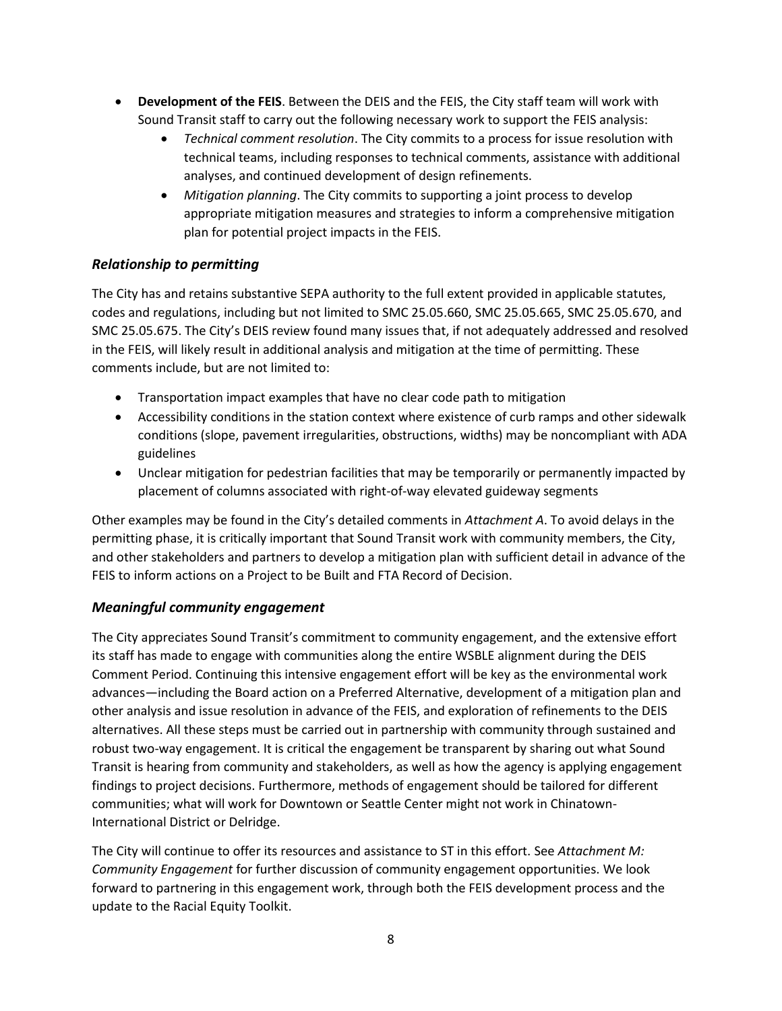- **Development of the FEIS**. Between the DEIS and the FEIS, the City staff team will work with Sound Transit staff to carry out the following necessary work to support the FEIS analysis:
	- *Technical comment resolution*. The City commits to a process for issue resolution with technical teams, including responses to technical comments, assistance with additional analyses, and continued development of design refinements.
	- *Mitigation planning*. The City commits to supporting a joint process to develop appropriate mitigation measures and strategies to inform a comprehensive mitigation plan for potential project impacts in the FEIS.

## *Relationship to permitting*

The City has and retains substantive SEPA authority to the full extent provided in applicable statutes, codes and regulations, including but not limited to SMC 25.05.660, SMC 25.05.665, SMC 25.05.670, and SMC 25.05.675. The City's DEIS review found many issues that, if not adequately addressed and resolved in the FEIS, will likely result in additional analysis and mitigation at the time of permitting. These comments include, but are not limited to:

- Transportation impact examples that have no clear code path to mitigation
- Accessibility conditions in the station context where existence of curb ramps and other sidewalk conditions (slope, pavement irregularities, obstructions, widths) may be noncompliant with ADA guidelines
- Unclear mitigation for pedestrian facilities that may be temporarily or permanently impacted by placement of columns associated with right-of-way elevated guideway segments

Other examples may be found in the City's detailed comments in *Attachment A*. To avoid delays in the permitting phase, it is critically important that Sound Transit work with community members, the City, and other stakeholders and partners to develop a mitigation plan with sufficient detail in advance of the FEIS to inform actions on a Project to be Built and FTA Record of Decision.

## *Meaningful community engagement*

The City appreciates Sound Transit's commitment to community engagement, and the extensive effort its staff has made to engage with communities along the entire WSBLE alignment during the DEIS Comment Period. Continuing this intensive engagement effort will be key as the environmental work advances—including the Board action on a Preferred Alternative, development of a mitigation plan and other analysis and issue resolution in advance of the FEIS, and exploration of refinements to the DEIS alternatives. All these steps must be carried out in partnership with community through sustained and robust two-way engagement. It is critical the engagement be transparent by sharing out what Sound Transit is hearing from community and stakeholders, as well as how the agency is applying engagement findings to project decisions. Furthermore, methods of engagement should be tailored for different communities; what will work for Downtown or Seattle Center might not work in Chinatown-International District or Delridge.

The City will continue to offer its resources and assistance to ST in this effort. See *Attachment M: Community Engagement* for further discussion of community engagement opportunities. We look forward to partnering in this engagement work, through both the FEIS development process and the update to the Racial Equity Toolkit.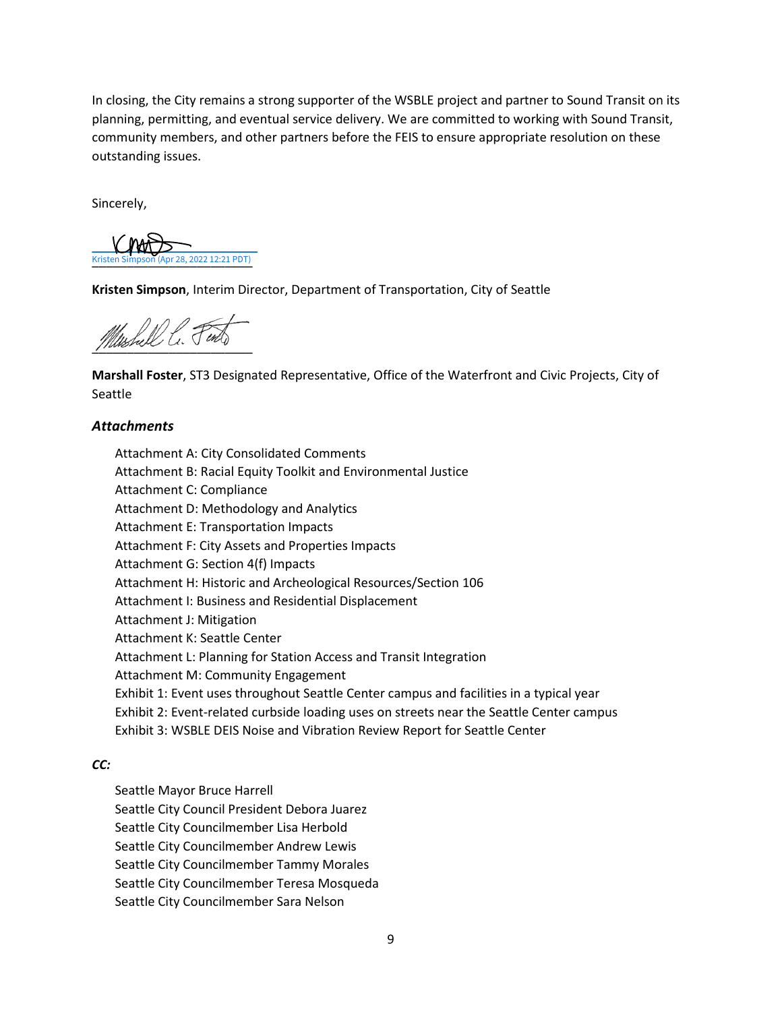In closing, the City remains a strong supporter of the WSBLE project and partner to Sound Transit on its planning, permitting, and eventual service delivery. We are committed to working with Sound Transit, community members, and other partners before the FEIS to ensure appropriate resolution on these outstanding issues.

Sincerely,

Kristen Simpson (Apr 28, 2022 12:21 PDT) Kristen Simpson (Apr 28, 2022 12:21 PDT)

**Kristen Simpson**, Interim Director, Department of Transportation, City of Seattle

Mushell C. Find

**Marshall Foster**, ST3 Designated Representative, Office of the Waterfront and Civic Projects, City of Seattle

#### *Attachments*

Attachment A: City Consolidated Comments Attachment B: Racial Equity Toolkit and Environmental Justice Attachment C: Compliance Attachment D: Methodology and Analytics Attachment E: Transportation Impacts Attachment F: City Assets and Properties Impacts Attachment G: Section 4(f) Impacts Attachment H: Historic and Archeological Resources/Section 106 Attachment I: Business and Residential Displacement Attachment J: Mitigation Attachment K: Seattle Center Attachment L: Planning for Station Access and Transit Integration Attachment M: Community Engagement Exhibit 1: Event uses throughout Seattle Center campus and facilities in a typical year Exhibit 2: Event-related curbside loading uses on streets near the Seattle Center campus Exhibit 3: WSBLE DEIS Noise and Vibration Review Report for Seattle Center

#### *CC:*

Seattle Mayor Bruce Harrell Seattle City Council President Debora Juarez Seattle City Councilmember Lisa Herbold Seattle City Councilmember Andrew Lewis Seattle City Councilmember Tammy Morales Seattle City Councilmember Teresa Mosqueda Seattle City Councilmember Sara Nelson